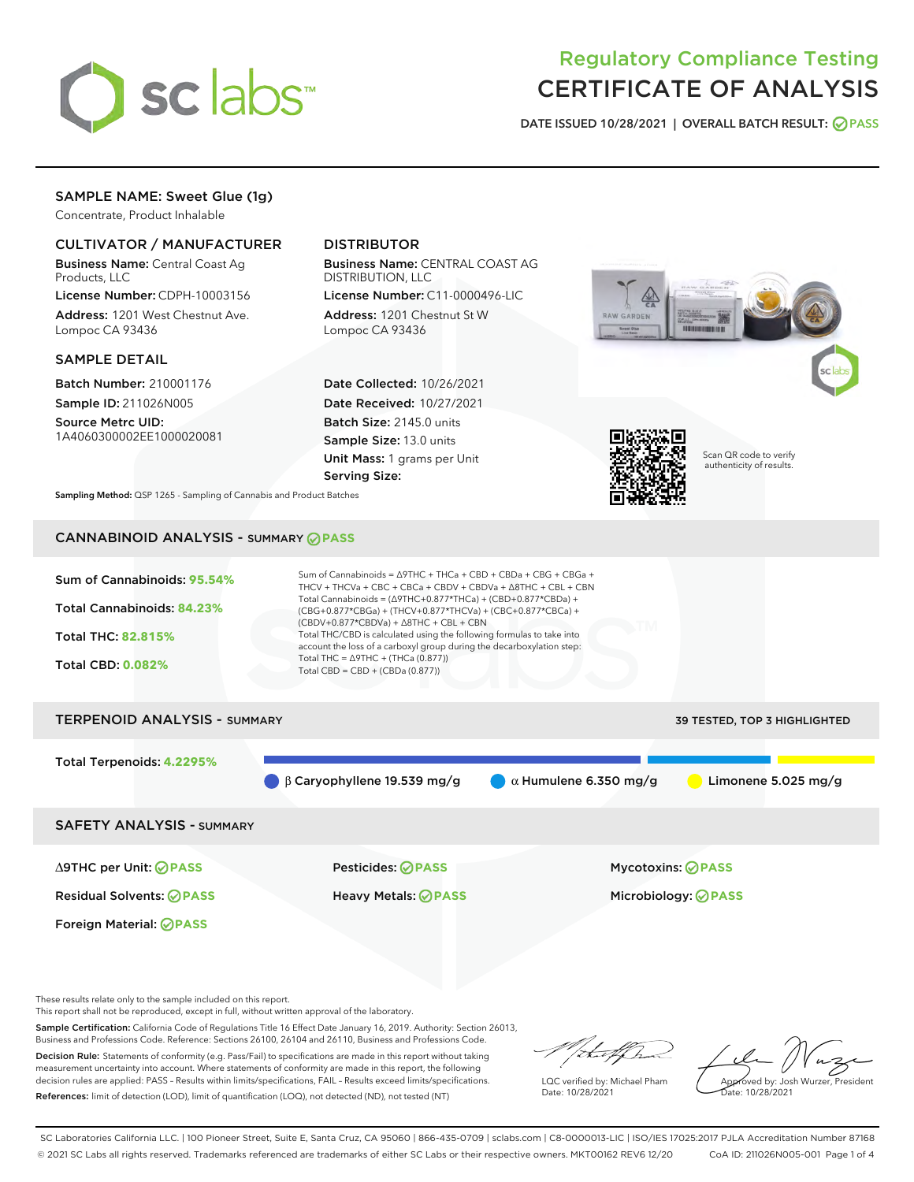

# Regulatory Compliance Testing CERTIFICATE OF ANALYSIS

DATE ISSUED 10/28/2021 | OVERALL BATCH RESULT: @ PASS

# SAMPLE NAME: Sweet Glue (1g)

Concentrate, Product Inhalable

# CULTIVATOR / MANUFACTURER

Business Name: Central Coast Ag Products, LLC

License Number: CDPH-10003156 Address: 1201 West Chestnut Ave. Lompoc CA 93436

#### SAMPLE DETAIL

Batch Number: 210001176 Sample ID: 211026N005

Source Metrc UID: 1A4060300002EE1000020081

# DISTRIBUTOR

Business Name: CENTRAL COAST AG DISTRIBUTION, LLC

License Number: C11-0000496-LIC Address: 1201 Chestnut St W Lompoc CA 93436

Date Collected: 10/26/2021 Date Received: 10/27/2021 Batch Size: 2145.0 units Sample Size: 13.0 units Unit Mass: 1 grams per Unit Serving Size:





Scan QR code to verify authenticity of results.

Sampling Method: QSP 1265 - Sampling of Cannabis and Product Batches

# CANNABINOID ANALYSIS - SUMMARY **PASS**



# TERPENOID ANALYSIS - SUMMARY 39 TESTED, TOP 3 HIGHLIGHTED Total Terpenoids: **4.2295%** β Caryophyllene 19.539 mg/g  $\qquad \qquad \alpha$  Humulene 6.350 mg/g  $\qquad \qquad$  Limonene 5.025 mg/g SAFETY ANALYSIS - SUMMARY

Foreign Material: **PASS**

∆9THC per Unit: **PASS** Pesticides: **PASS** Mycotoxins: **PASS**

Residual Solvents: **PASS** Heavy Metals: **PASS** Microbiology: **PASS**

These results relate only to the sample included on this report.

This report shall not be reproduced, except in full, without written approval of the laboratory.

Sample Certification: California Code of Regulations Title 16 Effect Date January 16, 2019. Authority: Section 26013, Business and Professions Code. Reference: Sections 26100, 26104 and 26110, Business and Professions Code. Decision Rule: Statements of conformity (e.g. Pass/Fail) to specifications are made in this report without taking

measurement uncertainty into account. Where statements of conformity are made in this report, the following decision rules are applied: PASS – Results within limits/specifications, FAIL – Results exceed limits/specifications. References: limit of detection (LOD), limit of quantification (LOQ), not detected (ND), not tested (NT)

that f h

LQC verified by: Michael Pham Date: 10/28/2021

Approved by: Josh Wurzer, President ate: 10/28/2021

SC Laboratories California LLC. | 100 Pioneer Street, Suite E, Santa Cruz, CA 95060 | 866-435-0709 | sclabs.com | C8-0000013-LIC | ISO/IES 17025:2017 PJLA Accreditation Number 87168 © 2021 SC Labs all rights reserved. Trademarks referenced are trademarks of either SC Labs or their respective owners. MKT00162 REV6 12/20 CoA ID: 211026N005-001 Page 1 of 4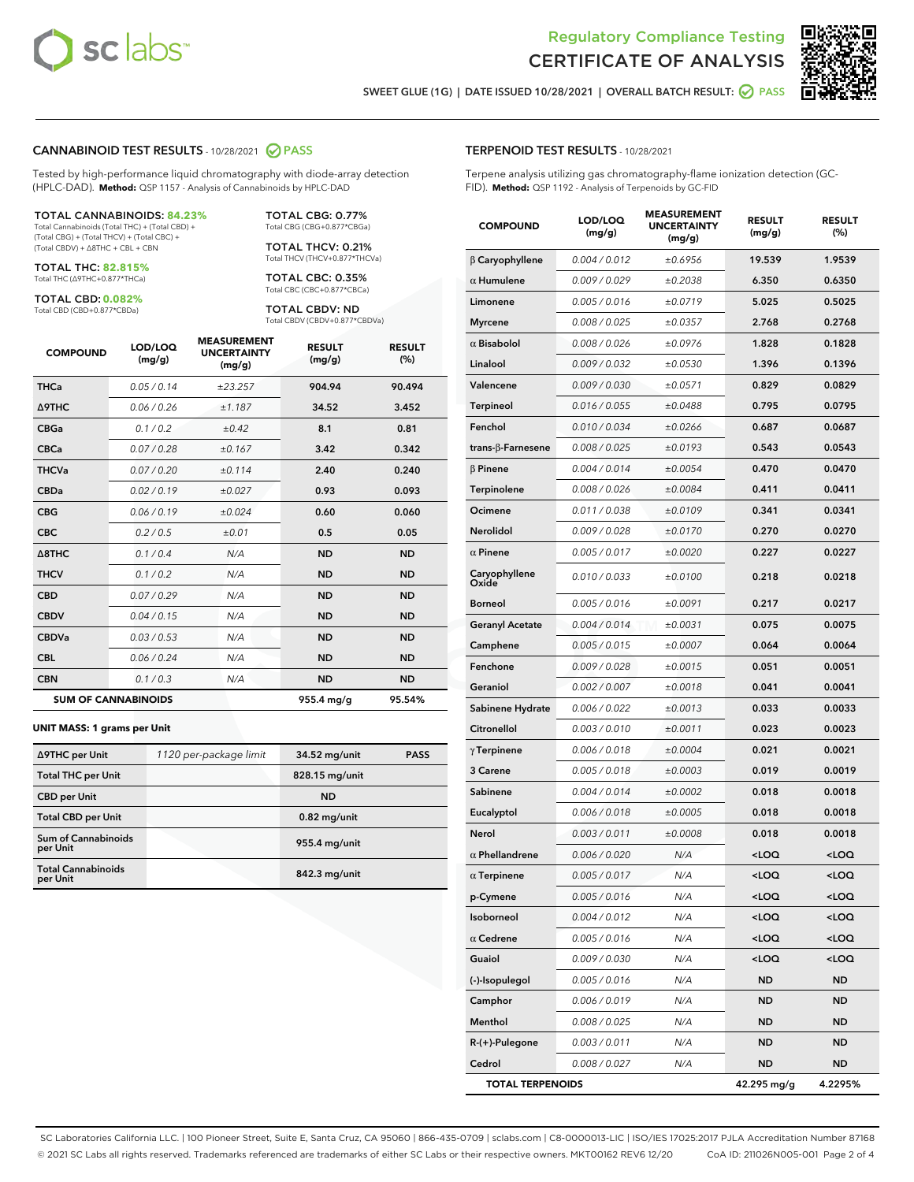



SWEET GLUE (1G) | DATE ISSUED 10/28/2021 | OVERALL BATCH RESULT: @ PASS

#### CANNABINOID TEST RESULTS - 10/28/2021 2 PASS

Tested by high-performance liquid chromatography with diode-array detection (HPLC-DAD). **Method:** QSP 1157 - Analysis of Cannabinoids by HPLC-DAD

#### TOTAL CANNABINOIDS: **84.23%**

Total Cannabinoids (Total THC) + (Total CBD) + (Total CBG) + (Total THCV) + (Total CBC) + (Total CBDV) + ∆8THC + CBL + CBN

TOTAL THC: **82.815%** Total THC (∆9THC+0.877\*THCa)

TOTAL CBD: **0.082%** Total CBD (CBD+0.877\*CBDa)

TOTAL THCV: 0.21% Total THCV (THCV+0.877\*THCVa)

TOTAL CBC: 0.35% Total CBC (CBC+0.877\*CBCa)

TOTAL CBG: 0.77% Total CBG (CBG+0.877\*CBGa)

TOTAL CBDV: ND Total CBDV (CBDV+0.877\*CBDVa)

| <b>COMPOUND</b>  | LOD/LOQ<br>(mg/g)          | <b>MEASUREMENT</b><br><b>UNCERTAINTY</b><br>(mg/g) | <b>RESULT</b><br>(mg/g) | <b>RESULT</b><br>(%) |
|------------------|----------------------------|----------------------------------------------------|-------------------------|----------------------|
| <b>THCa</b>      | 0.05 / 0.14                | ±23.257                                            | 904.94                  | 90.494               |
| <b>A9THC</b>     | 0.06 / 0.26                | ±1.187                                             | 34.52                   | 3.452                |
| <b>CBGa</b>      | 0.1/0.2                    | $\pm 0.42$                                         | 8.1                     | 0.81                 |
| <b>CBCa</b>      | 0.07 / 0.28                | ±0.167                                             | 3.42                    | 0.342                |
| <b>THCVa</b>     | 0.07/0.20                  | ±0.114                                             | 2.40                    | 0.240                |
| <b>CBDa</b>      | 0.02 / 0.19                | ±0.027                                             | 0.93                    | 0.093                |
| <b>CBG</b>       | 0.06/0.19                  | ±0.024                                             | 0.60                    | 0.060                |
| <b>CBC</b>       | 0.2 / 0.5                  | ±0.01                                              | 0.5                     | 0.05                 |
| $\triangle$ 8THC | 0.1/0.4                    | N/A                                                | <b>ND</b>               | <b>ND</b>            |
| <b>THCV</b>      | 0.1/0.2                    | N/A                                                | <b>ND</b>               | <b>ND</b>            |
| <b>CBD</b>       | 0.07/0.29                  | N/A                                                | <b>ND</b>               | <b>ND</b>            |
| <b>CBDV</b>      | 0.04 / 0.15                | N/A                                                | <b>ND</b>               | <b>ND</b>            |
| <b>CBDVa</b>     | 0.03 / 0.53                | N/A                                                | <b>ND</b>               | <b>ND</b>            |
| <b>CBL</b>       | 0.06 / 0.24                | N/A                                                | <b>ND</b>               | <b>ND</b>            |
| <b>CBN</b>       | 0.1/0.3                    | N/A                                                | <b>ND</b>               | <b>ND</b>            |
|                  | <b>SUM OF CANNABINOIDS</b> |                                                    | 955.4 mg/g              | 95.54%               |

#### **UNIT MASS: 1 grams per Unit**

| ∆9THC per Unit                        | 1120 per-package limit | 34.52 mg/unit  | <b>PASS</b> |
|---------------------------------------|------------------------|----------------|-------------|
| <b>Total THC per Unit</b>             |                        | 828.15 mg/unit |             |
| <b>CBD</b> per Unit                   |                        | <b>ND</b>      |             |
| <b>Total CBD per Unit</b>             |                        | $0.82$ mg/unit |             |
| Sum of Cannabinoids<br>per Unit       |                        | 955.4 mg/unit  |             |
| <b>Total Cannabinoids</b><br>per Unit |                        | 842.3 mg/unit  |             |

#### TERPENOID TEST RESULTS - 10/28/2021

Terpene analysis utilizing gas chromatography-flame ionization detection (GC-FID). **Method:** QSP 1192 - Analysis of Terpenoids by GC-FID

| <b>COMPOUND</b>           | LOD/LOQ<br>(mg/g) | <b>MEASUREMENT</b><br><b>UNCERTAINTY</b><br>(mg/g) | <b>RESULT</b><br>(mg/g)                         | <b>RESULT</b><br>(%) |
|---------------------------|-------------------|----------------------------------------------------|-------------------------------------------------|----------------------|
| $\beta$ Caryophyllene     | 0.004 / 0.012     | ±0.6956                                            | 19.539                                          | 1.9539               |
| $\alpha$ Humulene         | 0.009 / 0.029     | ±0.2038                                            | 6.350                                           | 0.6350               |
| Limonene                  | 0.005 / 0.016     | ±0.0719                                            | 5.025                                           | 0.5025               |
| <b>Myrcene</b>            | 0.008 / 0.025     | ±0.0357                                            | 2.768                                           | 0.2768               |
| $\alpha$ Bisabolol        | 0.008 / 0.026     | ±0.0976                                            | 1.828                                           | 0.1828               |
| Linalool                  | 0.009 / 0.032     | ±0.0530                                            | 1.396                                           | 0.1396               |
| Valencene                 | 0.009 / 0.030     | ±0.0571                                            | 0.829                                           | 0.0829               |
| Terpineol                 | 0.016 / 0.055     | ±0.0488                                            | 0.795                                           | 0.0795               |
| Fenchol                   | 0.010 / 0.034     | ±0.0266                                            | 0.687                                           | 0.0687               |
| trans- $\beta$ -Farnesene | 0.008 / 0.025     | ±0.0193                                            | 0.543                                           | 0.0543               |
| $\beta$ Pinene            | 0.004 / 0.014     | ±0.0054                                            | 0.470                                           | 0.0470               |
| Terpinolene               | 0.008 / 0.026     | ±0.0084                                            | 0.411                                           | 0.0411               |
| Ocimene                   | 0.011 / 0.038     | ±0.0109                                            | 0.341                                           | 0.0341               |
| <b>Nerolidol</b>          | 0.009 / 0.028     | ±0.0170                                            | 0.270                                           | 0.0270               |
| $\alpha$ Pinene           | 0.005 / 0.017     | ±0.0020                                            | 0.227                                           | 0.0227               |
| Caryophyllene<br>Oxide    | 0.010 / 0.033     | ±0.0100                                            | 0.218                                           | 0.0218               |
| Borneol                   | 0.005 / 0.016     | ±0.0091                                            | 0.217                                           | 0.0217               |
| <b>Geranyl Acetate</b>    | 0.004 / 0.014     | ±0.0031                                            | 0.075                                           | 0.0075               |
| Camphene                  | 0.005 / 0.015     | ±0.0007                                            | 0.064                                           | 0.0064               |
| Fenchone                  | 0.009 / 0.028     | ±0.0015                                            | 0.051                                           | 0.0051               |
| Geraniol                  | 0.002 / 0.007     | ±0.0018                                            | 0.041                                           | 0.0041               |
| Sabinene Hydrate          | 0.006 / 0.022     | ±0.0013                                            | 0.033                                           | 0.0033               |
| Citronellol               | 0.003 / 0.010     | ±0.0011                                            | 0.023                                           | 0.0023               |
| $\gamma$ Terpinene        | 0.006 / 0.018     | ±0.0004                                            | 0.021                                           | 0.0021               |
| 3 Carene                  | 0.005 / 0.018     | ±0.0003                                            | 0.019                                           | 0.0019               |
| Sabinene                  | 0.004 / 0.014     | ±0.0002                                            | 0.018                                           | 0.0018               |
| Eucalyptol                | 0.006 / 0.018     | ±0.0005                                            | 0.018                                           | 0.0018               |
| Nerol                     | 0.003 / 0.011     | ±0.0008                                            | 0.018                                           | 0.0018               |
| $\alpha$ Phellandrene     | 0.006 / 0.020     | N/A                                                | <loq< th=""><th><loq< th=""></loq<></th></loq<> | <loq< th=""></loq<>  |
| $\alpha$ Terpinene        | 0.005 / 0.017     | N/A                                                | <loq< th=""><th><loq< th=""></loq<></th></loq<> | <loq< th=""></loq<>  |
| p-Cymene                  | 0.005 / 0.016     | N/A                                                | <loq< th=""><th><loq< th=""></loq<></th></loq<> | <loq< th=""></loq<>  |
| Isoborneol                | 0.004 / 0.012     | N/A                                                | <loq< th=""><th><loq< th=""></loq<></th></loq<> | <loq< th=""></loq<>  |
| $\alpha$ Cedrene          | 0.005 / 0.016     | N/A                                                | <loq< th=""><th><loq< th=""></loq<></th></loq<> | <loq< th=""></loq<>  |
| Guaiol                    | 0.009 / 0.030     | N/A                                                | <loq< th=""><th><loq< th=""></loq<></th></loq<> | <loq< th=""></loq<>  |
| (-)-Isopulegol            | 0.005 / 0.016     | N/A                                                | ND                                              | ND                   |
| Camphor                   | 0.006 / 0.019     | N/A                                                | <b>ND</b>                                       | <b>ND</b>            |
| Menthol                   | 0.008 / 0.025     | N/A                                                | ND                                              | ND                   |
| R-(+)-Pulegone            | 0.003 / 0.011     | N/A                                                | ND                                              | ND                   |
| Cedrol                    | 0.008 / 0.027     | N/A                                                | <b>ND</b>                                       | ND                   |
| <b>TOTAL TERPENOIDS</b>   |                   |                                                    | 42.295 mg/g                                     | 4.2295%              |

SC Laboratories California LLC. | 100 Pioneer Street, Suite E, Santa Cruz, CA 95060 | 866-435-0709 | sclabs.com | C8-0000013-LIC | ISO/IES 17025:2017 PJLA Accreditation Number 87168 © 2021 SC Labs all rights reserved. Trademarks referenced are trademarks of either SC Labs or their respective owners. MKT00162 REV6 12/20 CoA ID: 211026N005-001 Page 2 of 4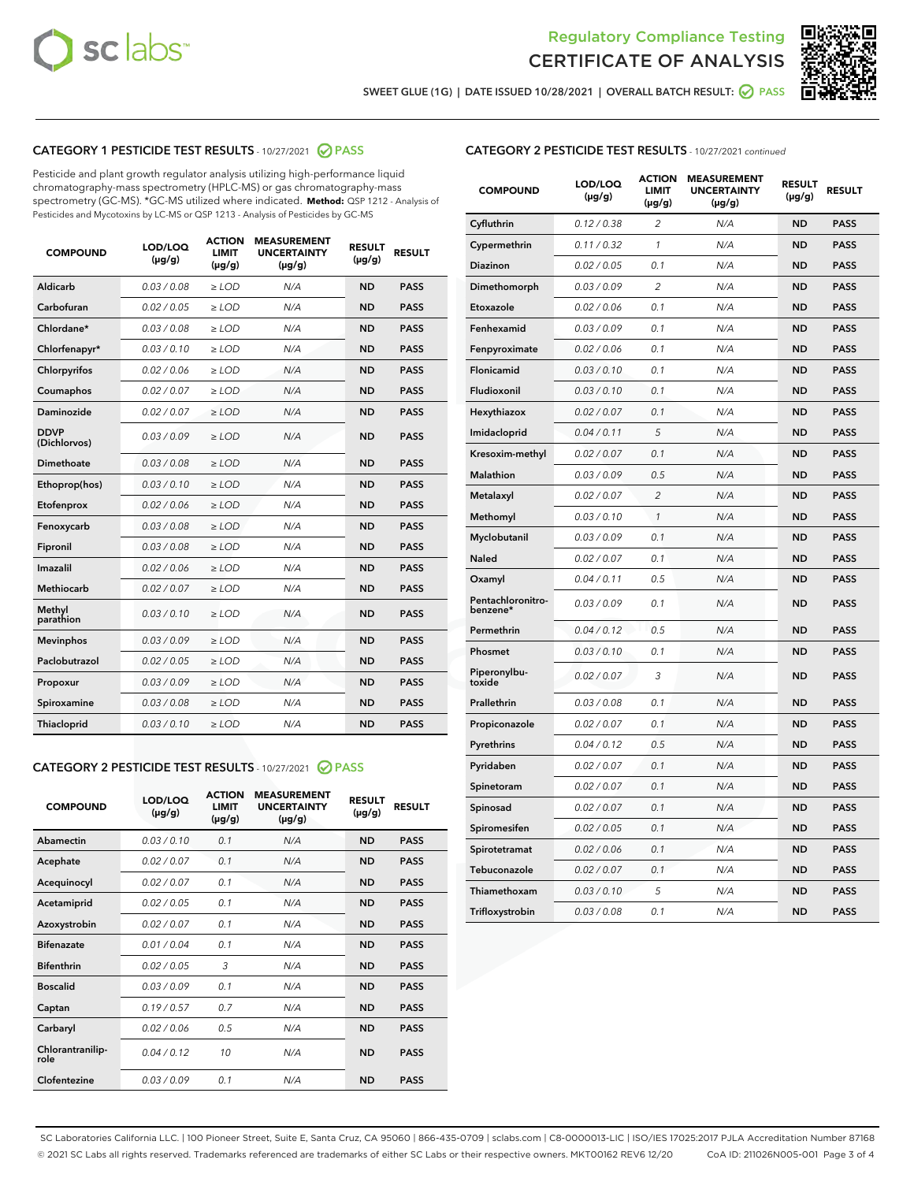



SWEET GLUE (1G) | DATE ISSUED 10/28/2021 | OVERALL BATCH RESULT:  $\bigcirc$  PASS

# CATEGORY 1 PESTICIDE TEST RESULTS - 10/27/2021 2 PASS

Pesticide and plant growth regulator analysis utilizing high-performance liquid chromatography-mass spectrometry (HPLC-MS) or gas chromatography-mass spectrometry (GC-MS). \*GC-MS utilized where indicated. **Method:** QSP 1212 - Analysis of Pesticides and Mycotoxins by LC-MS or QSP 1213 - Analysis of Pesticides by GC-MS

| <b>COMPOUND</b>             | LOD/LOQ<br>$(\mu g/g)$ | <b>ACTION</b><br><b>LIMIT</b><br>$(\mu g/g)$ | <b>MEASUREMENT</b><br><b>UNCERTAINTY</b><br>$(\mu g/g)$ | <b>RESULT</b><br>$(\mu g/g)$ | <b>RESULT</b> |
|-----------------------------|------------------------|----------------------------------------------|---------------------------------------------------------|------------------------------|---------------|
| Aldicarb                    | 0.03 / 0.08            | $\ge$ LOD                                    | N/A                                                     | <b>ND</b>                    | <b>PASS</b>   |
| Carbofuran                  | 0.02 / 0.05            | $\ge$ LOD                                    | N/A                                                     | <b>ND</b>                    | <b>PASS</b>   |
| Chlordane*                  | 0.03 / 0.08            | $\ge$ LOD                                    | N/A                                                     | <b>ND</b>                    | <b>PASS</b>   |
| Chlorfenapyr*               | 0.03/0.10              | $\ge$ LOD                                    | N/A                                                     | <b>ND</b>                    | <b>PASS</b>   |
| Chlorpyrifos                | 0.02 / 0.06            | $\ge$ LOD                                    | N/A                                                     | <b>ND</b>                    | <b>PASS</b>   |
| Coumaphos                   | 0.02 / 0.07            | $\ge$ LOD                                    | N/A                                                     | <b>ND</b>                    | <b>PASS</b>   |
| Daminozide                  | 0.02 / 0.07            | $\ge$ LOD                                    | N/A                                                     | <b>ND</b>                    | <b>PASS</b>   |
| <b>DDVP</b><br>(Dichlorvos) | 0.03/0.09              | $\ge$ LOD                                    | N/A                                                     | <b>ND</b>                    | <b>PASS</b>   |
| Dimethoate                  | 0.03 / 0.08            | $\ge$ LOD                                    | N/A                                                     | <b>ND</b>                    | <b>PASS</b>   |
| Ethoprop(hos)               | 0.03/0.10              | $\ge$ LOD                                    | N/A                                                     | <b>ND</b>                    | <b>PASS</b>   |
| Etofenprox                  | 0.02/0.06              | $>$ LOD                                      | N/A                                                     | <b>ND</b>                    | <b>PASS</b>   |
| Fenoxycarb                  | 0.03 / 0.08            | $>$ LOD                                      | N/A                                                     | <b>ND</b>                    | <b>PASS</b>   |
| Fipronil                    | 0.03 / 0.08            | $>$ LOD                                      | N/A                                                     | <b>ND</b>                    | <b>PASS</b>   |
| Imazalil                    | 0.02 / 0.06            | $\ge$ LOD                                    | N/A                                                     | <b>ND</b>                    | <b>PASS</b>   |
| <b>Methiocarb</b>           | 0.02 / 0.07            | $\ge$ LOD                                    | N/A                                                     | <b>ND</b>                    | <b>PASS</b>   |
| Methyl<br>parathion         | 0.03/0.10              | $\ge$ LOD                                    | N/A                                                     | <b>ND</b>                    | <b>PASS</b>   |
| <b>Mevinphos</b>            | 0.03/0.09              | $\ge$ LOD                                    | N/A                                                     | <b>ND</b>                    | <b>PASS</b>   |
| Paclobutrazol               | 0.02 / 0.05            | $\ge$ LOD                                    | N/A                                                     | <b>ND</b>                    | <b>PASS</b>   |
| Propoxur                    | 0.03/0.09              | $\ge$ LOD                                    | N/A                                                     | <b>ND</b>                    | <b>PASS</b>   |
| Spiroxamine                 | 0.03 / 0.08            | $\ge$ LOD                                    | N/A                                                     | <b>ND</b>                    | <b>PASS</b>   |
| Thiacloprid                 | 0.03/0.10              | $\ge$ LOD                                    | N/A                                                     | <b>ND</b>                    | <b>PASS</b>   |

#### CATEGORY 2 PESTICIDE TEST RESULTS - 10/27/2021 @ PASS

| <b>COMPOUND</b>          | LOD/LOO<br>$(\mu g/g)$ | <b>ACTION</b><br>LIMIT<br>$(\mu g/g)$ | <b>MEASUREMENT</b><br><b>UNCERTAINTY</b><br>$(\mu g/g)$ | <b>RESULT</b><br>$(\mu g/g)$ | <b>RESULT</b> |  |
|--------------------------|------------------------|---------------------------------------|---------------------------------------------------------|------------------------------|---------------|--|
| Abamectin                | 0.03/0.10              | 0.1                                   | N/A                                                     | <b>ND</b>                    | <b>PASS</b>   |  |
| Acephate                 | 0.02/0.07              | 0.1                                   | N/A                                                     | <b>ND</b>                    | <b>PASS</b>   |  |
| Acequinocyl              | 0.02/0.07              | 0.1                                   | N/A                                                     | <b>ND</b>                    | <b>PASS</b>   |  |
| Acetamiprid              | 0.02/0.05              | 0.1                                   | N/A                                                     | <b>ND</b>                    | <b>PASS</b>   |  |
| Azoxystrobin             | 0.02/0.07              | 0.1                                   | N/A                                                     | <b>ND</b>                    | <b>PASS</b>   |  |
| <b>Bifenazate</b>        | 0.01 / 0.04            | 0.1                                   | N/A                                                     | <b>ND</b>                    | <b>PASS</b>   |  |
| <b>Bifenthrin</b>        | 0.02 / 0.05            | 3                                     | N/A                                                     | <b>ND</b>                    | <b>PASS</b>   |  |
| <b>Boscalid</b>          | 0.03/0.09              | 0.1                                   | N/A                                                     | <b>ND</b>                    | <b>PASS</b>   |  |
| Captan                   | 0.19/0.57              | 07                                    | N/A                                                     | <b>ND</b>                    | <b>PASS</b>   |  |
| Carbaryl                 | 0.02/0.06              | 0.5                                   | N/A                                                     | <b>ND</b>                    | <b>PASS</b>   |  |
| Chlorantranilip-<br>role | 0.04/0.12              | 10                                    | N/A                                                     | <b>ND</b>                    | <b>PASS</b>   |  |
| Clofentezine             | 0.03/0.09              | 0 <sub>1</sub>                        | N/A                                                     | <b>ND</b>                    | <b>PASS</b>   |  |

| <b>COMPOUND</b>               | LOD/LOQ<br>(µg/g) | <b>ACTION</b><br><b>LIMIT</b><br>(µg/g) | <b>MEASUREMENT</b><br><b>UNCERTAINTY</b><br>$(\mu g/g)$ | <b>RESULT</b><br>(µg/g) | <b>RESULT</b> |
|-------------------------------|-------------------|-----------------------------------------|---------------------------------------------------------|-------------------------|---------------|
| Cyfluthrin                    | 0.12 / 0.38       | $\overline{c}$                          | N/A                                                     | <b>ND</b>               | <b>PASS</b>   |
| Cypermethrin                  | 0.11 / 0.32       | 1                                       | N/A                                                     | <b>ND</b>               | <b>PASS</b>   |
| <b>Diazinon</b>               | 0.02 / 0.05       | 0.1                                     | N/A                                                     | <b>ND</b>               | <b>PASS</b>   |
| Dimethomorph                  | 0.03 / 0.09       | 2                                       | N/A                                                     | <b>ND</b>               | <b>PASS</b>   |
| Etoxazole                     | 0.02 / 0.06       | 0.1                                     | N/A                                                     | <b>ND</b>               | <b>PASS</b>   |
| Fenhexamid                    | 0.03 / 0.09       | 0.1                                     | N/A                                                     | <b>ND</b>               | <b>PASS</b>   |
| Fenpyroximate                 | 0.02 / 0.06       | 0.1                                     | N/A                                                     | <b>ND</b>               | <b>PASS</b>   |
| Flonicamid                    | 0.03 / 0.10       | 0.1                                     | N/A                                                     | <b>ND</b>               | <b>PASS</b>   |
| Fludioxonil                   | 0.03 / 0.10       | 0.1                                     | N/A                                                     | <b>ND</b>               | <b>PASS</b>   |
| Hexythiazox                   | 0.02 / 0.07       | 0.1                                     | N/A                                                     | <b>ND</b>               | <b>PASS</b>   |
| Imidacloprid                  | 0.04 / 0.11       | 5                                       | N/A                                                     | <b>ND</b>               | <b>PASS</b>   |
| Kresoxim-methyl               | 0.02 / 0.07       | 0.1                                     | N/A                                                     | <b>ND</b>               | <b>PASS</b>   |
| Malathion                     | 0.03 / 0.09       | 0.5                                     | N/A                                                     | <b>ND</b>               | <b>PASS</b>   |
| Metalaxyl                     | 0.02 / 0.07       | $\overline{c}$                          | N/A                                                     | <b>ND</b>               | <b>PASS</b>   |
| Methomyl                      | 0.03 / 0.10       | $\mathcal{I}$                           | N/A                                                     | <b>ND</b>               | <b>PASS</b>   |
| Myclobutanil                  | 0.03 / 0.09       | 0.1                                     | N/A                                                     | <b>ND</b>               | <b>PASS</b>   |
| <b>Naled</b>                  | 0.02 / 0.07       | 0.1                                     | N/A                                                     | <b>ND</b>               | <b>PASS</b>   |
| Oxamyl                        | 0.04 / 0.11       | 0.5                                     | N/A                                                     | <b>ND</b>               | <b>PASS</b>   |
| Pentachloronitro-<br>benzene* | 0.03/0.09         | 0.1                                     | N/A                                                     | <b>ND</b>               | <b>PASS</b>   |
| Permethrin                    | 0.04 / 0.12       | 0.5                                     | N/A                                                     | <b>ND</b>               | <b>PASS</b>   |
| Phosmet                       | 0.03 / 0.10       | 0.1                                     | N/A                                                     | <b>ND</b>               | <b>PASS</b>   |
| Piperonylbu-<br>toxide        | 0.02 / 0.07       | 3                                       | N/A                                                     | <b>ND</b>               | <b>PASS</b>   |
| Prallethrin                   | 0.03 / 0.08       | 0.1                                     | N/A                                                     | <b>ND</b>               | <b>PASS</b>   |
| Propiconazole                 | 0.02 / 0.07       | 0.1                                     | N/A                                                     | <b>ND</b>               | <b>PASS</b>   |
| Pyrethrins                    | 0.04 / 0.12       | 0.5                                     | N/A                                                     | <b>ND</b>               | <b>PASS</b>   |
| Pyridaben                     | 0.02 / 0.07       | 0.1                                     | N/A                                                     | <b>ND</b>               | <b>PASS</b>   |
| Spinetoram                    | 0.02 / 0.07       | 0.1                                     | N/A                                                     | <b>ND</b>               | <b>PASS</b>   |
| Spinosad                      | 0.02 / 0.07       | 0.1                                     | N/A                                                     | <b>ND</b>               | <b>PASS</b>   |
| Spiromesifen                  | 0.02 / 0.05       | 0.1                                     | N/A                                                     | <b>ND</b>               | <b>PASS</b>   |
| Spirotetramat                 | 0.02 / 0.06       | 0.1                                     | N/A                                                     | ND                      | <b>PASS</b>   |
| Tebuconazole                  | 0.02 / 0.07       | 0.1                                     | N/A                                                     | <b>ND</b>               | <b>PASS</b>   |
| Thiamethoxam                  | 0.03 / 0.10       | 5                                       | N/A                                                     | <b>ND</b>               | <b>PASS</b>   |
| Trifloxystrobin               | 0.03 / 0.08       | 0.1                                     | N/A                                                     | <b>ND</b>               | <b>PASS</b>   |

SC Laboratories California LLC. | 100 Pioneer Street, Suite E, Santa Cruz, CA 95060 | 866-435-0709 | sclabs.com | C8-0000013-LIC | ISO/IES 17025:2017 PJLA Accreditation Number 87168 © 2021 SC Labs all rights reserved. Trademarks referenced are trademarks of either SC Labs or their respective owners. MKT00162 REV6 12/20 CoA ID: 211026N005-001 Page 3 of 4